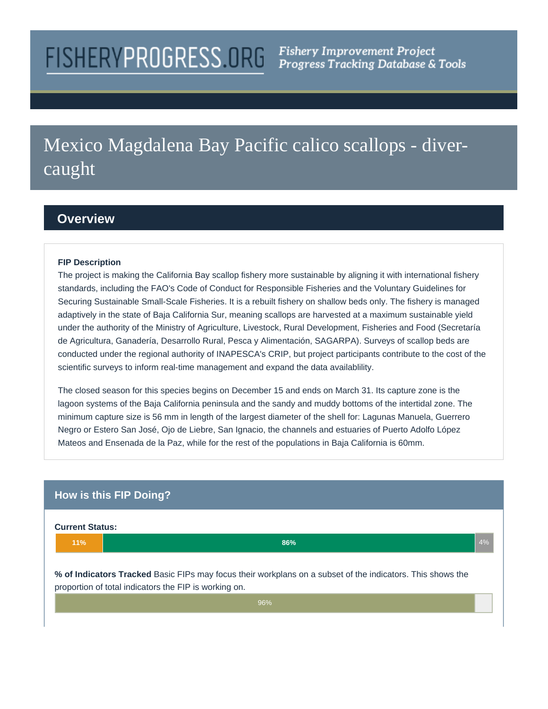# **FISHERYPROGRESS.ORG**

# Mexico Magdalena Bay Pacific calico scallops - divercaught

# **Overview**

#### **FIP Description**

The project is making the California Bay scallop fishery more sustainable by aligning it with international fishery standards, including the FAO's Code of Conduct for Responsible Fisheries and the Voluntary Guidelines for Securing Sustainable Small-Scale Fisheries. It is a rebuilt fishery on shallow beds only. The fishery is managed adaptively in the state of Baja California Sur, meaning scallops are harvested at a maximum sustainable yield under the authority of the Ministry of Agriculture, Livestock, Rural Development, Fisheries and Food (Secretaría de Agricultura, Ganadería, Desarrollo Rural, Pesca y Alimentación, SAGARPA). Surveys of scallop beds are conducted under the regional authority of INAPESCA's CRIP, but project participants contribute to the cost of the scientific surveys to inform real-time management and expand the data availablility.

The closed season for this species begins on December 15 and ends on March 31. Its capture zone is the lagoon systems of the Baja California peninsula and the sandy and muddy bottoms of the intertidal zone. The minimum capture size is 56 mm in length of the largest diameter of the shell for: Lagunas Manuela, Guerrero Negro or Estero San José, Ojo de Liebre, San Ignacio, the channels and estuaries of Puerto Adolfo López Mateos and Ensenada de la Paz, while for the rest of the populations in Baja California is 60mm.

# **How is this FIP Doing?**

#### **Current Status:**



**% of Indicators Tracked** Basic FIPs may focus their workplans on a subset of the indicators. This shows the proportion of total indicators the FIP is working on.

96%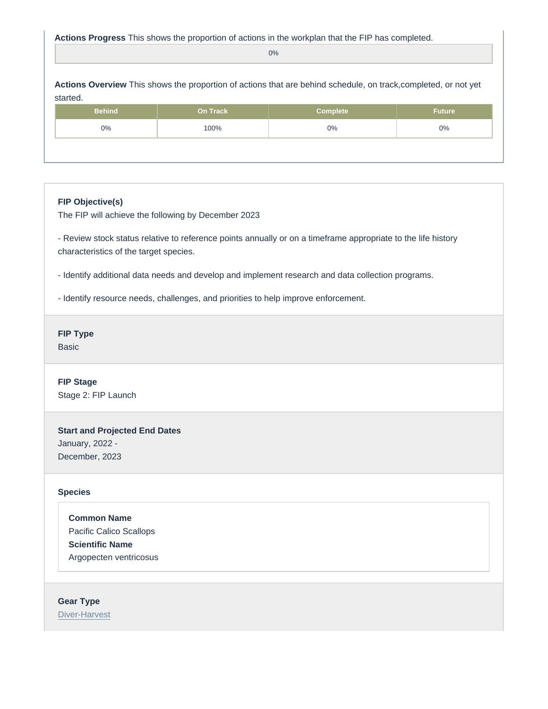#### Actions Progress This shows the proportion of actions in the workplan that the FIP has completed.

| This shows the proportion of actions that are behind schedule, on track, completed, or not yet<br><b>Actions Overview</b><br>started. |  |          |          |               |
|---------------------------------------------------------------------------------------------------------------------------------------|--|----------|----------|---------------|
| <b>Behind</b>                                                                                                                         |  | On Track | Complete | <b>Future</b> |
| $0\%$                                                                                                                                 |  | 100%     | $0\%$    | $0\%$         |
|                                                                                                                                       |  |          |          |               |

## FIP Objective(s)

The FIP will achieve the following by December 2023

- Review stock status relative to reference points annually or on a timeframe appropriate to the life history characteristics of the target species.

- Identify additional data needs and develop and implement research and data collection programs.

- Identify resource needs, challenges, and priorities to help improve enforcement.

FIP Type Basic

FIP Stage Stage 2: FIP Launch

Start and Projected End Dates January, 2022 - December, 2023

#### Species

Common Name Pacific Calico Scallops Scientific Name Argopecten ventricosus

Gear Type [Diver-Harvest](https://fisheryprogress.org/product-and-gear-type/diver-harvest)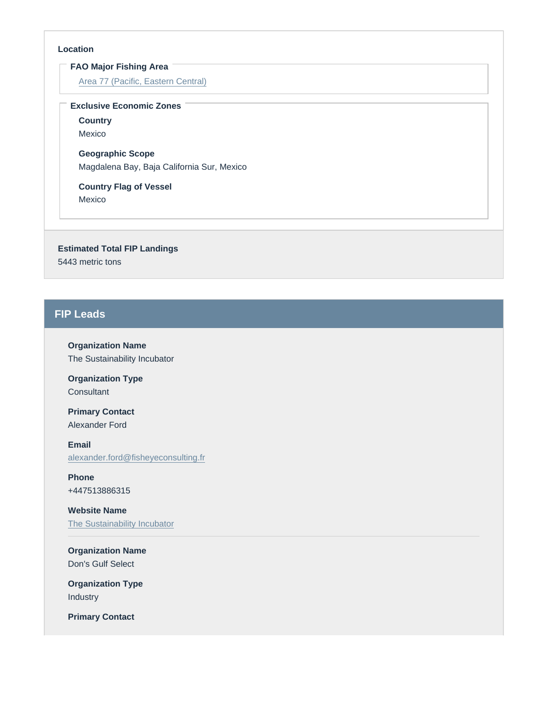#### Location

FAO Major Fishing Area

[Area 77 \(Pacific, Eastern Central\)](https://fisheryprogress.org/fao-major-fishing-areas/area-77-pacific-eastern-central)

Exclusive Economic Zones

**Country** Mexico

Geographic Scope Magdalena Bay, Baja California Sur, Mexico

Country Flag of Vessel Mexico

Estimated Total FIP Landings 5443 metric tons

# FIP Leads

Organization Name The Sustainability Incubator

Organization Type **Consultant** 

Primary Contact Alexander Ford

Email [alexander.ford@fisheyeconsulting.fr](mailto:alexander.ford@fisheyeconsulting.fr)

Phone +447513886315

Website Name [The Sustainability Incubator](http://www.sustainabilityincubator.com)

Organization Name Don's Gulf Select

Organization Type Industry

Primary Contact